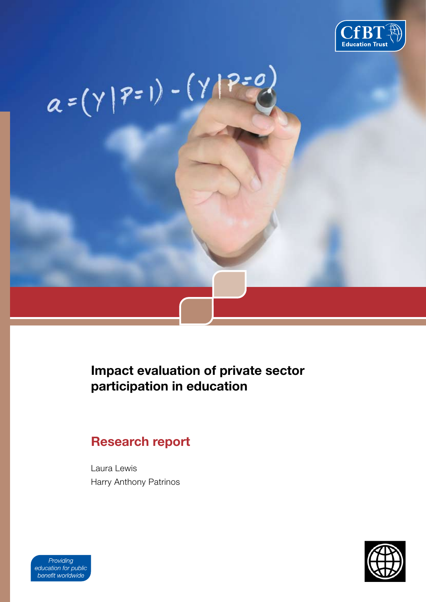

# $a=(\gamma | P=1) - (\gamma | P=0)$ **LITERATURE REVIEW**

# **Impact evaluation of private sector participation in education**

# **Research report**

Laura Lewis Harry Anthony Patrinos



Providing education for public benefit worldwide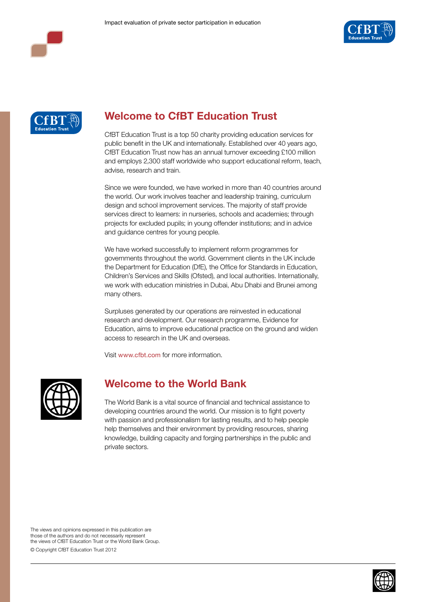





# **Welcome to CfBT Education Trust**

CfBT Education Trust is a top 50 charity providing education services for public benefit in the UK and internationally. Established over 40 years ago, CfBT Education Trust now has an annual turnover exceeding £100 million and employs 2,300 staff worldwide who support educational reform, teach, advise, research and train.

Since we were founded, we have worked in more than 40 countries around the world. Our work involves teacher and leadership training, curriculum design and school improvement services. The majority of staff provide services direct to learners: in nurseries, schools and academies; through projects for excluded pupils; in young offender institutions; and in advice and guidance centres for young people.

We have worked successfully to implement reform programmes for governments throughout the world. Government clients in the UK include the Department for Education (DfE), the Office for Standards in Education, Children's Services and Skills (Ofsted), and local authorities. Internationally, we work with education ministries in Dubai, Abu Dhabi and Brunei among many others.

Surpluses generated by our operations are reinvested in educational research and development. Our research programme, Evidence for Education, aims to improve educational practice on the ground and widen access to research in the UK and overseas.

Visit www.cfbt.com for more information.



# **Welcome to the World Bank**

The World Bank is a vital source of financial and technical assistance to developing countries around the world. Our mission is to fight poverty with passion and professionalism for lasting results, and to help people help themselves and their environment by providing resources, sharing knowledge, building capacity and forging partnerships in the public and private sectors.

The views and opinions expressed in this publication are those of the authors and do not necessarily represent the views of CfBT Education Trust or the World Bank Group. © Copyright CfBT Education Trust 2012

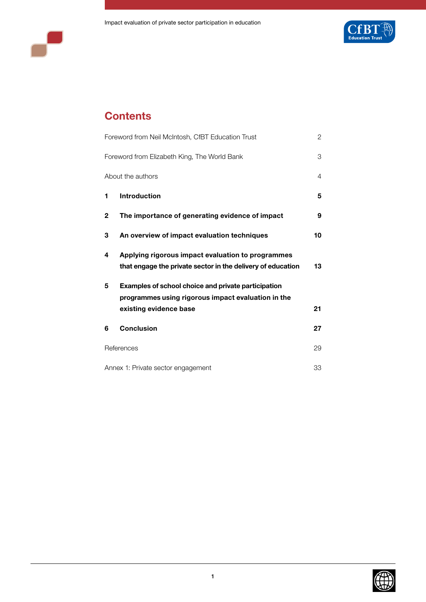



# **Contents**

|              | Foreword from Neil McIntosh, CfBT Education Trust           | 2  |
|--------------|-------------------------------------------------------------|----|
|              | Foreword from Elizabeth King, The World Bank                | З  |
|              | About the authors                                           | 4  |
| 1            | <b>Introduction</b>                                         | 5  |
| $\mathbf{2}$ | The importance of generating evidence of impact             | 9  |
| 3            | An overview of impact evaluation techniques                 | 10 |
| 4            | Applying rigorous impact evaluation to programmes           |    |
|              | that engage the private sector in the delivery of education | 13 |
| 5            | Examples of school choice and private participation         |    |
|              | programmes using rigorous impact evaluation in the          |    |
|              | existing evidence base                                      | 21 |
| 6            | <b>Conclusion</b>                                           | 27 |
|              | References                                                  | 29 |
|              | Annex 1: Private sector engagement                          | 33 |

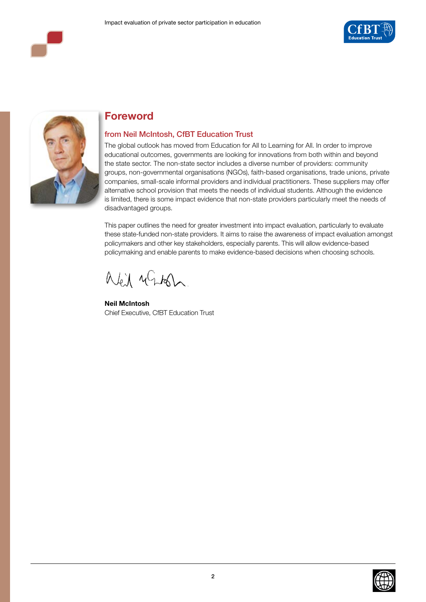





# **Foreword**

## from Neil McIntosh, CfBT Education Trust

The global outlook has moved from Education for All to Learning for All. In order to improve educational outcomes, governments are looking for innovations from both within and beyond the state sector. The non-state sector includes a diverse number of providers: community groups, non-governmental organisations (NGOs), faith-based organisations, trade unions, private companies, small-scale informal providers and individual practitioners. These suppliers may offer alternative school provision that meets the needs of individual students. Although the evidence is limited, there is some impact evidence that non-state providers particularly meet the needs of disadvantaged groups.

This paper outlines the need for greater investment into impact evaluation, particularly to evaluate these state-funded non-state providers. It aims to raise the awareness of impact evaluation amongst policymakers and other key stakeholders, especially parents. This will allow evidence-based policymaking and enable parents to make evidence-based decisions when choosing schools.

aled ulitan.

**Neil McIntosh**  Chief Executive, CfBT Education Trust

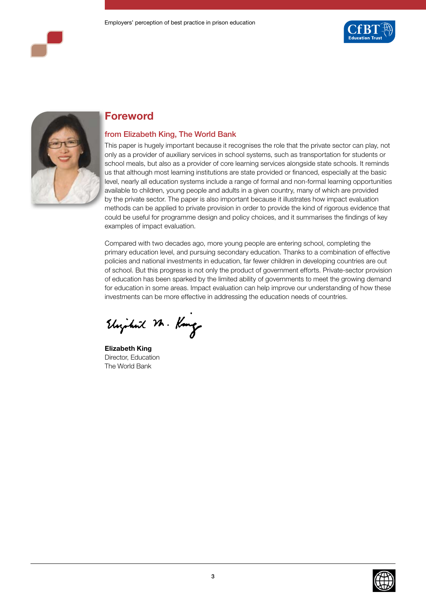





# **Foreword**

## from Elizabeth King, The World Bank

This paper is hugely important because it recognises the role that the private sector can play, not only as a provider of auxiliary services in school systems, such as transportation for students or school meals, but also as a provider of core learning services alongside state schools. It reminds us that although most learning institutions are state provided or financed, especially at the basic level, nearly all education systems include a range of formal and non-formal learning opportunities available to children, young people and adults in a given country, many of which are provided by the private sector. The paper is also important because it illustrates how impact evaluation methods can be applied to private provision in order to provide the kind of rigorous evidence that could be useful for programme design and policy choices, and it summarises the findings of key examples of impact evaluation.

Compared with two decades ago, more young people are entering school, completing the primary education level, and pursuing secondary education. Thanks to a combination of effective policies and national investments in education, far fewer children in developing countries are out of school. But this progress is not only the product of government efforts. Private-sector provision of education has been sparked by the limited ability of governments to meet the growing demand for education in some areas. Impact evaluation can help improve our understanding of how these investments can be more effective in addressing the education needs of countries.

Elizabeth M. Kong

**Elizabeth King**  Director, Education The World Bank

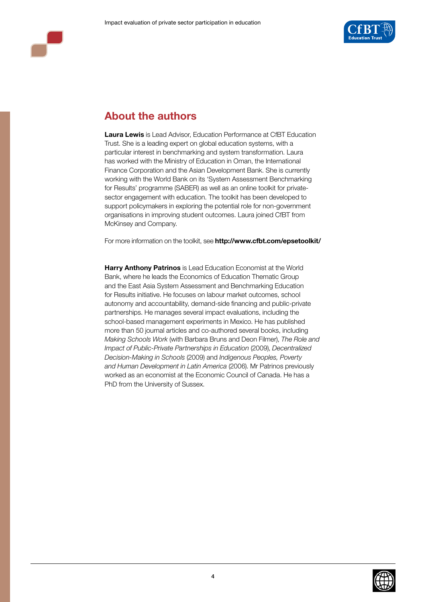

# **About the authors**

**Laura Lewis** is Lead Advisor, Education Performance at CfBT Education Trust. She is a leading expert on global education systems, with a particular interest in benchmarking and system transformation. Laura has worked with the Ministry of Education in Oman, the International Finance Corporation and the Asian Development Bank. She is currently working with the World Bank on its 'System Assessment Benchmarking for Results' programme (SABER) as well as an online toolkit for privatesector engagement with education. The toolkit has been developed to support policymakers in exploring the potential role for non-government organisations in improving student outcomes. Laura joined CfBT from McKinsey and Company.

For more information on the toolkit, see **http://www.cfbt.com/epsetoolkit/**

**Harry Anthony Patrinos** is Lead Education Economist at the World Bank, where he leads the Economics of Education Thematic Group and the East Asia System Assessment and Benchmarking Education for Results initiative. He focuses on labour market outcomes, school autonomy and accountability, demand-side financing and public-private partnerships. He manages several impact evaluations, including the school-based management experiments in Mexico. He has published more than 50 journal articles and co-authored several books, including *Making Schools Work* (with Barbara Bruns and Deon Filmer), *The Role and Impact of Public-Private Partnerships in Education* (2009), *Decentralized Decision-Making in Schools* (2009) and *Indigenous Peoples, Poverty and Human Development in Latin America* (2006). Mr Patrinos previously worked as an economist at the Economic Council of Canada. He has a PhD from the University of Sussex.

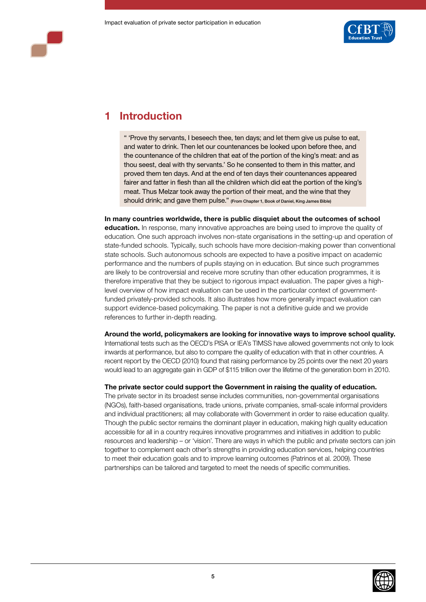

# **1 Introduction**

" 'Prove thy servants, I beseech thee, ten days; and let them give us pulse to eat, and water to drink. Then let our countenances be looked upon before thee, and the countenance of the children that eat of the portion of the king's meat: and as thou seest, deal with thy servants.' So he consented to them in this matter, and proved them ten days. And at the end of ten days their countenances appeared fairer and fatter in flesh than all the children which did eat the portion of the king's meat. Thus Melzar took away the portion of their meat, and the wine that they should drink; and gave them pulse." (From Chapter 1, Book of Daniel, King James Bible)

**In many countries worldwide, there is public disquiet about the outcomes of school education.** In response, many innovative approaches are being used to improve the quality of education. One such approach involves non-state organisations in the setting-up and operation of state-funded schools. Typically, such schools have more decision-making power than conventional state schools. Such autonomous schools are expected to have a positive impact on academic performance and the numbers of pupils staying on in education. But since such programmes are likely to be controversial and receive more scrutiny than other education programmes, it is therefore imperative that they be subject to rigorous impact evaluation. The paper gives a highlevel overview of how impact evaluation can be used in the particular context of governmentfunded privately-provided schools. It also illustrates how more generally impact evaluation can support evidence-based policymaking. The paper is not a definitive guide and we provide references to further in-depth reading.

**Around the world, policymakers are looking for innovative ways to improve school quality.** 

International tests such as the OECD's PISA or IEA's TIMSS have allowed governments not only to look inwards at performance, but also to compare the quality of education with that in other countries. A recent report by the OECD (2010) found that raising performance by 25 points over the next 20 years would lead to an aggregate gain in GDP of \$115 trillion over the lifetime of the generation born in 2010.

#### **The private sector could support the Government in raising the quality of education.**

The private sector in its broadest sense includes communities, non-governmental organisations (NGOs), faith-based organisations, trade unions, private companies, small-scale informal providers and individual practitioners; all may collaborate with Government in order to raise education quality. Though the public sector remains the dominant player in education, making high quality education accessible for all in a country requires innovative programmes and initiatives in addition to public resources and leadership – or 'vision'. There are ways in which the public and private sectors can join together to complement each other's strengths in providing education services, helping countries to meet their education goals and to improve learning outcomes (Patrinos et al. 2009). These partnerships can be tailored and targeted to meet the needs of specific communities.

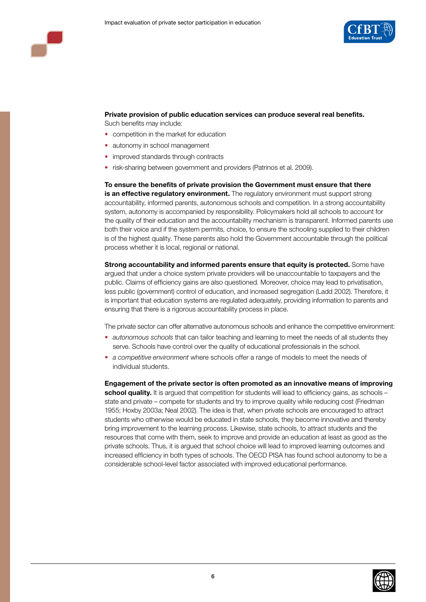

**Private provision of public education services can produce several real benefits.**  Such benefits may include:

- competition in the market for education
- autonomy in school management
- improved standards through contracts
- risk-sharing between government and providers (Patrinos et al. 2009).

**To ensure the benefits of private provision the Government must ensure that there is an effective regulatory environment.** The regulatory environment must support strong accountability, informed parents, autonomous schools and competition. In a strong accountability system, autonomy is accompanied by responsibility. Policymakers hold all schools to account for the quality of their education and the accountability mechanism is transparent. Informed parents use both their voice and if the system permits, choice, to ensure the schooling supplied to their children is of the highest quality. These parents also hold the Government accountable through the political process whether it is local, regional or national.

**Strong accountability and informed parents ensure that equity is protected.** Some have argued that under a choice system private providers will be unaccountable to taxpayers and the public. Claims of efficiency gains are also questioned. Moreover, choice may lead to privatisation, less public (government) control of education, and increased segregation (Ladd 2002). Therefore, it is important that education systems are regulated adequately, providing information to parents and ensuring that there is a rigorous accountability process in place.

The private sector can offer alternative autonomous schools and enhance the competitive environment:

- *autonomous schools* that can tailor teaching and learning to meet the needs of all students they serve. Schools have control over the quality of educational professionals in the school.
- *a competitive environment* where schools offer a range of models to meet the needs of individual students.

**Engagement of the private sector is often promoted as an innovative means of improving school quality.** It is argued that competition for students will lead to efficiency gains, as schools state and private – compete for students and try to improve quality while reducing cost (Friedman 1955; Hoxby 2003a; Neal 2002). The idea is that, when private schools are encouraged to attract students who otherwise would be educated in state schools, they become innovative and thereby bring improvement to the learning process. Likewise, state schools, to attract students and the resources that come with them, seek to improve and provide an education at least as good as the private schools. Thus, it is argued that school choice will lead to improved learning outcomes and increased efficiency in both types of schools. The OECD PISA has found school autonomy to be a considerable school-level factor associated with improved educational performance.

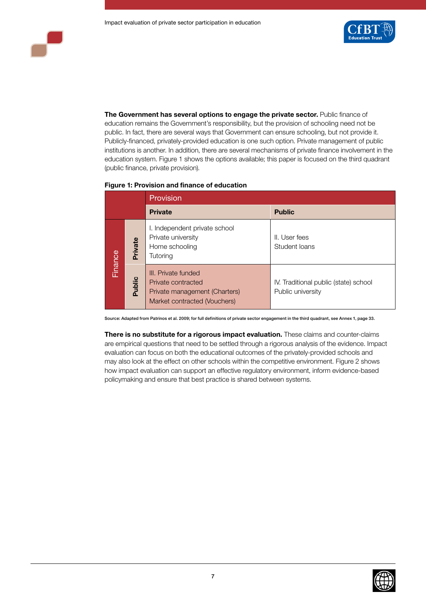

**The Government has several options to engage the private sector.** Public finance of education remains the Government's responsibility, but the provision of schooling need not be public. In fact, there are several ways that Government can ensure schooling, but not provide it. Publicly-financed, privately-provided education is one such option. Private management of public institutions is another. In addition, there are several mechanisms of private finance involvement in the education system. Figure 1 shows the options available; this paper is focused on the third quadrant (public finance, private provision).

|         |         | Provision                                                                                                  |                                                            |  |  |
|---------|---------|------------------------------------------------------------------------------------------------------------|------------------------------------------------------------|--|--|
|         |         | <b>Private</b>                                                                                             | <b>Public</b>                                              |  |  |
| Finance | Private | I. Independent private school<br>Private university<br>Home schooling<br>Tutoring                          | II. User fees<br>Student Ioans                             |  |  |
|         | Public  | III. Private funded<br>Private contracted<br>Private management (Charters)<br>Market contracted (Vouchers) | IV. Traditional public (state) school<br>Public university |  |  |

Source: Adapted from Patrinos et al. 2009; for full definitions of private sector engagement in the third quadrant, see Annex 1, page 33.

**There is no substitute for a rigorous impact evaluation.** These claims and counter-claims are empirical questions that need to be settled through a rigorous analysis of the evidence. Impact evaluation can focus on both the educational outcomes of the privately-provided schools and may also look at the effect on other schools within the competitive environment. Figure 2 shows how impact evaluation can support an effective regulatory environment, inform evidence-based policymaking and ensure that best practice is shared between systems.

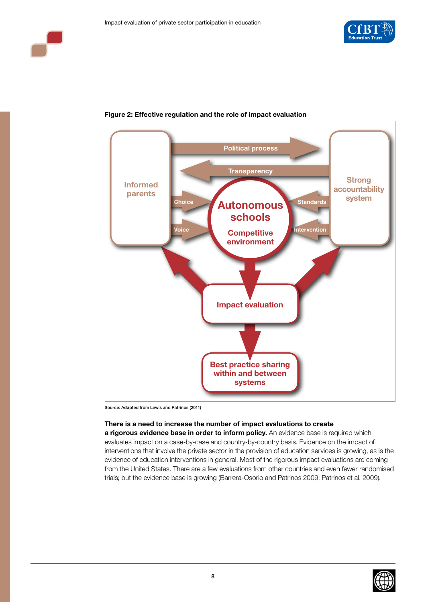



## **Figure 2: Effective regulation and the role of impact evaluation**

Source: Adapted from Lewis and Patrinos (2011)

#### **There is a need to increase the number of impact evaluations to create**

**a rigorous evidence base in order to inform policy.** An evidence base is required which evaluates impact on a case-by-case and country-by-country basis. Evidence on the impact of interventions that involve the private sector in the provision of education services is growing, as is the evidence of education interventions in general. Most of the rigorous impact evaluations are coming from the United States. There are a few evaluations from other countries and even fewer randomised trials; but the evidence base is growing (Barrera-Osorio and Patrinos 2009; Patrinos et al. 2009).

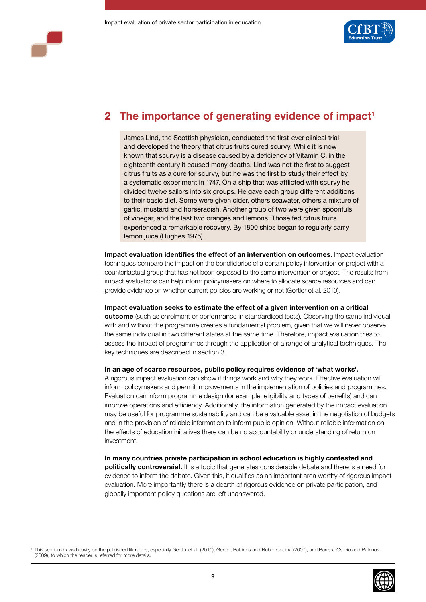

# **2** The importance of generating evidence of impact<sup>1</sup>

James Lind, the Scottish physician, conducted the first-ever clinical trial and developed the theory that citrus fruits cured scurvy. While it is now known that scurvy is a disease caused by a deficiency of Vitamin C, in the eighteenth century it caused many deaths. Lind was not the first to suggest citrus fruits as a cure for scurvy, but he was the first to study their effect by a systematic experiment in 1747. On a ship that was afflicted with scurvy he divided twelve sailors into six groups. He gave each group different additions to their basic diet. Some were given cider, others seawater, others a mixture of garlic, mustard and horseradish. Another group of two were given spoonfuls of vinegar, and the last two oranges and lemons. Those fed citrus fruits experienced a remarkable recovery. By 1800 ships began to regularly carry lemon juice (Hughes 1975).

**Impact evaluation identifies the effect of an intervention on outcomes.** Impact evaluation techniques compare the impact on the beneficiaries of a certain policy intervention or project with a counterfactual group that has not been exposed to the same intervention or project. The results from impact evaluations can help inform policymakers on where to allocate scarce resources and can provide evidence on whether current policies are working or not (Gertler et al. 2010).

#### **Impact evaluation seeks to estimate the effect of a given intervention on a critical**

**outcome** (such as enrolment or performance in standardised tests). Observing the same individual with and without the programme creates a fundamental problem, given that we will never observe the same individual in two different states at the same time. Therefore, impact evaluation tries to assess the impact of programmes through the application of a range of analytical techniques. The key techniques are described in section 3.

#### **In an age of scarce resources, public policy requires evidence of 'what works'.**

A rigorous impact evaluation can show if things work and why they work. Effective evaluation will inform policymakers and permit improvements in the implementation of policies and programmes. Evaluation can inform programme design (for example, eligibility and types of benefits) and can improve operations and efficiency. Additionally, the information generated by the impact evaluation may be useful for programme sustainability and can be a valuable asset in the negotiation of budgets and in the provision of reliable information to inform public opinion. Without reliable information on the effects of education initiatives there can be no accountability or understanding of return on investment.

**In many countries private participation in school education is highly contested and politically controversial.** It is a topic that generates considerable debate and there is a need for evidence to inform the debate. Given this, it qualifies as an important area worthy of rigorous impact evaluation. More importantly there is a dearth of rigorous evidence on private participation, and globally important policy questions are left unanswered.

<sup>1</sup> This section draws heavily on the published literature, especially Gertler et al. (2010), Gertler, Patrinos and Rubio-Codina (2007), and Barrera-Osorio and Patrinos (2009), to which the reader is referred for more details.

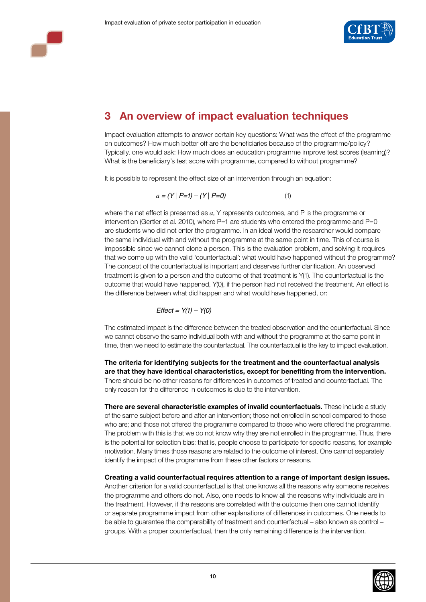



# **3 An overview of impact evaluation techniques**

Impact evaluation attempts to answer certain key questions: What was the effect of the programme on outcomes? How much better off are the beneficiaries because of the programme/policy? Typically, one would ask: How much does an education programme improve test scores (learning)? What is the beneficiary's test score with programme, compared to without programme?

It is possible to represent the effect size of an intervention through an equation:

$$
a = (Y | P=1) - (Y | P=0)
$$
 (1)

where the net effect is presented as *a*, Y represents outcomes, and P is the programme or intervention (Gertler et al. 2010), where  $P=1$  are students who entered the programme and  $P=0$ are students who did not enter the programme. In an ideal world the researcher would compare the same individual with and without the programme at the same point in time. This of course is impossible since we cannot clone a person. This is the evaluation problem, and solving it requires that we come up with the valid 'counterfactual': what would have happened without the programme? The concept of the counterfactual is important and deserves further clarification. An observed treatment is given to a person and the outcome of that treatment is Y(1). The counterfactual is the outcome that would have happened, Y(0), if the person had not received the treatment. An effect is the difference between what did happen and what would have happened, or:

$$
Effect = Y(1) - Y(0)
$$

The estimated impact is the difference between the treated observation and the counterfactual. Since we cannot observe the same individual both with and without the programme at the same point in time, then we need to estimate the counterfactual. The counterfactual is the key to impact evaluation.

**The criteria for identifying subjects for the treatment and the counterfactual analysis are that they have identical characteristics, except for benefiting from the intervention.**  There should be no other reasons for differences in outcomes of treated and counterfactual. The only reason for the difference in outcomes is due to the intervention.

**There are several characteristic examples of invalid counterfactuals.** These include a study of the same subject before and after an intervention; those not enrolled in school compared to those who are; and those not offered the programme compared to those who were offered the programme. The problem with this is that we do not know why they are not enrolled in the programme. Thus, there is the potential for selection bias: that is, people choose to participate for specific reasons, for example motivation. Many times those reasons are related to the outcome of interest. One cannot separately identify the impact of the programme from these other factors or reasons.

**Creating a valid counterfactual requires attention to a range of important design issues.** Another criterion for a valid counterfactual is that one knows all the reasons why someone receives the programme and others do not. Also, one needs to know all the reasons why individuals are in the treatment. However, if the reasons are correlated with the outcome then one cannot identify or separate programme impact from other explanations of differences in outcomes. One needs to be able to guarantee the comparability of treatment and counterfactual – also known as control – groups. With a proper counterfactual, then the only remaining difference is the intervention.

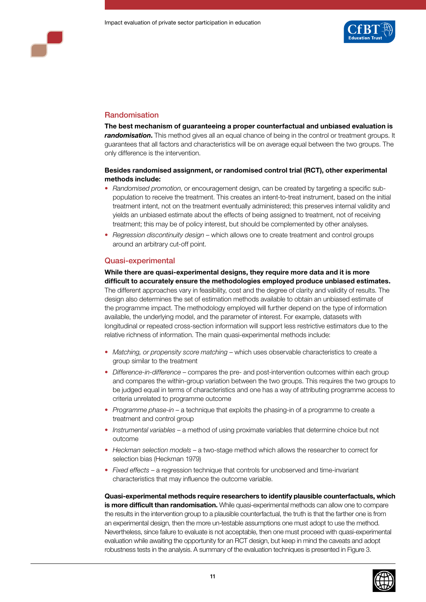



## Randomisation

**The best mechanism of guaranteeing a proper counterfactual and unbiased evaluation is randomisation.** This method gives all an equal chance of being in the control or treatment groups. It guarantees that all factors and characteristics will be on average equal between the two groups. The only difference is the intervention.

#### **Besides randomised assignment, or randomised control trial (RCT), other experimental methods include:**

- Randomised promotion, or encouragement design, can be created by targeting a specific subpopulation to receive the treatment. This creates an intent-to-treat instrument, based on the initial treatment intent, not on the treatment eventually administered; this preserves internal validity and yields an unbiased estimate about the effects of being assigned to treatment, not of receiving treatment; this may be of policy interest, but should be complemented by other analyses.
- • *Regression discontinuity design* which allows one to create treatment and control groups around an arbitrary cut-off point.

#### Quasi-experimental

#### **While there are quasi-experimental designs, they require more data and it is more difficult to accurately ensure the methodologies employed produce unbiased estimates.**

The different approaches vary in feasibility, cost and the degree of clarity and validity of results. The design also determines the set of estimation methods available to obtain an unbiased estimate of the programme impact. The methodology employed will further depend on the type of information available, the underlying model, and the parameter of interest. For example, datasets with longitudinal or repeated cross-section information will support less restrictive estimators due to the relative richness of information. The main quasi-experimental methods include:

- *Matching, or propensity score matching* which uses observable characteristics to create a group similar to the treatment
- • *Difference-in-difference* compares the pre- and post-intervention outcomes within each group and compares the within-group variation between the two groups. This requires the two groups to be judged equal in terms of characteristics and one has a way of attributing programme access to criteria unrelated to programme outcome
- *Programme phase-in* a technique that exploits the phasing-in of a programme to create a treatment and control group
- • *Instrumental variables* a method of using proximate variables that determine choice but not outcome
- Heckman selection models a two-stage method which allows the researcher to correct for selection bias (Heckman 1979)
- *Fixed effects* a regression technique that controls for unobserved and time-invariant characteristics that may influence the outcome variable.

**Quasi-experimental methods require researchers to identify plausible counterfactuals, which is more difficult than randomisation.** While quasi-experimental methods can allow one to compare the results in the intervention group to a plausible counterfactual, the truth is that the farther one is from an experimental design, then the more un-testable assumptions one must adopt to use the method. Nevertheless, since failure to evaluate is not acceptable, then one must proceed with quasi-experimental evaluation while awaiting the opportunity for an RCT design, but keep in mind the caveats and adopt robustness tests in the analysis. A summary of the evaluation techniques is presented in Figure 3.

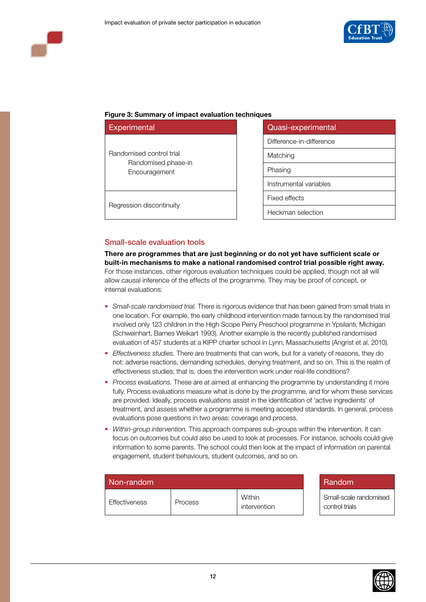



#### **Figure 3: Summary of impact evaluation techniques**

| <b>Experimental</b>                  | Quasi-experimental       |
|--------------------------------------|--------------------------|
|                                      | Difference-in-difference |
| Randomised control trial             | Matching                 |
| Randomised phase-in<br>Encouragement | Phasing                  |
|                                      | Instrumental variables   |
|                                      | Fixed effects            |
| Regression discontinuity             | Heckman selection        |

| Quasi-experimental       |  |  |
|--------------------------|--|--|
| Difference-in-difference |  |  |
| Matching                 |  |  |
| Phasing                  |  |  |
| Instrumental variables   |  |  |
| <b>Fixed effects</b>     |  |  |
| Heckman selection        |  |  |

Small-scale evaluation tools

**There are programmes that are just beginning or do not yet have sufficient scale or built-in mechanisms to make a national randomised control trial possible right away.** For those instances, other rigorous evaluation techniques could be applied, though not all will allow causal inference of the effects of the programme. They may be proof of concept, or internal evaluations:

- *Small-scale randomised trial.* There is rigorous evidence that has been gained from small trials in one location. For example, the early childhood intervention made famous by the randomised trial involved only 123 children in the High Scope Perry Preschool programme in Ypsilanti, Michigan (Schweinhart, Barnes Weikart 1993). Another example is the recently published randomised evaluation of 457 students at a KIPP charter school in Lynn, Massachusetts (Angrist et al. 2010).
- *Effectiveness studies.* There are treatments that can work, but for a variety of reasons, they do not: adverse reactions, demanding schedules, denying treatment, and so on. This is the realm of effectiveness studies; that is, does the intervention work under real-life conditions?
- *Process evaluations*. These are at aimed at enhancing the programme by understanding it more fully. Process evaluations measure what is done by the programme, and for whom these services are provided. Ideally, process evaluations assist in the identification of 'active ingredients' of treatment, and assess whether a programme is meeting accepted standards. In general, process evaluations pose questions in two areas: coverage and process.
- *Within-group intervention.* This approach compares sub-groups within the intervention. It can focus on outcomes but could also be used to look at processes. For instance, schools could give information to some parents. The school could then look at the impact of information on parental engagement, student behaviours, student outcomes, and so on.

| Non-random    |         |                        |  | Random                       |
|---------------|---------|------------------------|--|------------------------------|
| Effectiveness | Process | Within<br>intervention |  | Small-scale<br>control trial |

Small-scale randomised control trials

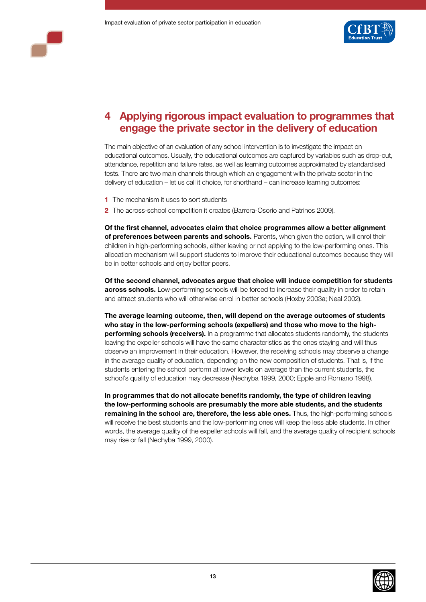



## **4 Applying rigorous impact evaluation to programmes that engage the private sector in the delivery of education**

The main objective of an evaluation of any school intervention is to investigate the impact on educational outcomes. Usually, the educational outcomes are captured by variables such as drop-out, attendance, repetition and failure rates, as well as learning outcomes approximated by standardised tests. There are two main channels through which an engagement with the private sector in the delivery of education – let us call it choice, for shorthand – can increase learning outcomes:

- **1** The mechanism it uses to sort students
- **2** The across-school competition it creates (Barrera-Osorio and Patrinos 2009).

**Of the first channel, advocates claim that choice programmes allow a better alignment of preferences between parents and schools.** Parents, when given the option, will enrol their children in high-performing schools, either leaving or not applying to the low-performing ones. This allocation mechanism will support students to improve their educational outcomes because they will be in better schools and enjoy better peers.

**Of the second channel, advocates argue that choice will induce competition for students across schools.** Low-performing schools will be forced to increase their quality in order to retain and attract students who will otherwise enrol in better schools (Hoxby 2003a; Neal 2002).

**The average learning outcome, then, will depend on the average outcomes of students who stay in the low-performing schools (expellers) and those who move to the highperforming schools (receivers).** In a programme that allocates students randomly, the students leaving the expeller schools will have the same characteristics as the ones staying and will thus observe an improvement in their education. However, the receiving schools may observe a change in the average quality of education, depending on the new composition of students. That is, if the students entering the school perform at lower levels on average than the current students, the school's quality of education may decrease (Nechyba 1999, 2000; Epple and Romano 1998).

**In programmes that do not allocate benefits randomly, the type of children leaving the low-performing schools are presumably the more able students, and the students remaining in the school are, therefore, the less able ones.** Thus, the high-performing schools will receive the best students and the low-performing ones will keep the less able students. In other words, the average quality of the expeller schools will fall, and the average quality of recipient schools may rise or fall (Nechyba 1999, 2000).

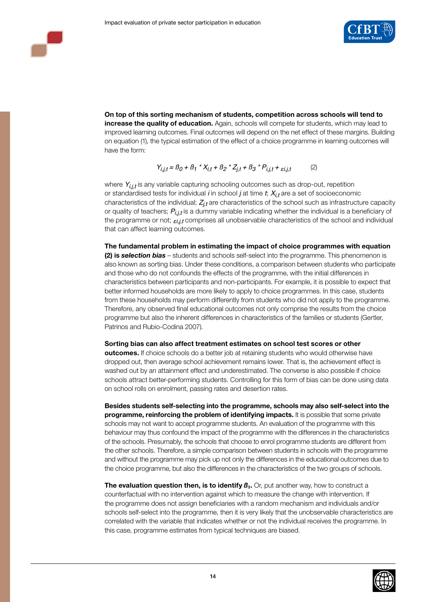

**On top of this sorting mechanism of students, competition across schools will tend to increase the quality of education.** Again, schools will compete for students, which may lead to improved learning outcomes. Final outcomes will depend on the net effect of these margins. Building on equation (1), the typical estimation of the effect of a choice programme in learning outcomes will have the form:

$$
Y_{i,j,t} = B_0 + B_1 \cdot X_{i,t} + B_2 \cdot Z_{j,t} + B_3 \cdot P_{i,j,t} + \varepsilon_{i,j,t}
$$
 (2)

where  $Y_{i,i,t}$  is any variable capturing schooling outcomes such as drop-out, repetition or standardised tests for individual *i* in school *j* at time *t*; *Xi,t* are a set of socioeconomic characteristics of the individual; *Zj,t* are characteristics of the school such as infrastructure capacity or quality of teachers; *Pi,j,t* is a dummy variable indicating whether the individual is a beneficiary of the programme or not;  $\varepsilon_{i,j,t}$  comprises all unobservable characteristics of the school and individual that can affect learning outcomes.

**The fundamental problem in estimating the impact of choice programmes with equation (2) is** *selection bias* – students and schools self-select into the programme. This phenomenon is also known as sorting bias. Under these conditions, a comparison between students who participate and those who do not confounds the effects of the programme, with the initial differences in characteristics between participants and non-participants. For example, it is possible to expect that better informed households are more likely to apply to choice programmes. In this case, students from these households may perform differently from students who did not apply to the programme. Therefore, any observed final educational outcomes not only comprise the results from the choice programme but also the inherent differences in characteristics of the families or students (Gertler, Patrinos and Rubio-Codina 2007).

#### **Sorting bias can also affect treatment estimates on school test scores or other**

**outcomes.** If choice schools do a better job at retaining students who would otherwise have dropped out, then average school achievement remains lower. That is, the achievement effect is washed out by an attainment effect and underestimated. The converse is also possible if choice schools attract better-performing students. Controlling for this form of bias can be done using data on school rolls on enrolment, passing rates and desertion rates.

**Besides students self-selecting into the programme, schools may also self-select into the programme, reinforcing the problem of identifying impacts.** It is possible that some private schools may not want to accept programme students. An evaluation of the programme with this behaviour may thus confound the impact of the programme with the differences in the characteristics of the schools. Presumably, the schools that choose to enrol programme students are different from the other schools. Therefore, a simple comparison between students in schools with the programme and without the programme may pick up not only the differences in the educational outcomes due to the choice programme, but also the differences in the characteristics of the two groups of schools.

**The evaluation question then, is to identify**  $B_3$ **. Or, put another way, how to construct a** counterfactual with no intervention against which to measure the change with intervention. If the programme does not assign beneficiaries with a random mechanism and individuals and/or schools self-select into the programme, then it is very likely that the unobservable characteristics are correlated with the variable that indicates whether or not the individual receives the programme. In this case, programme estimates from typical techniques are biased.

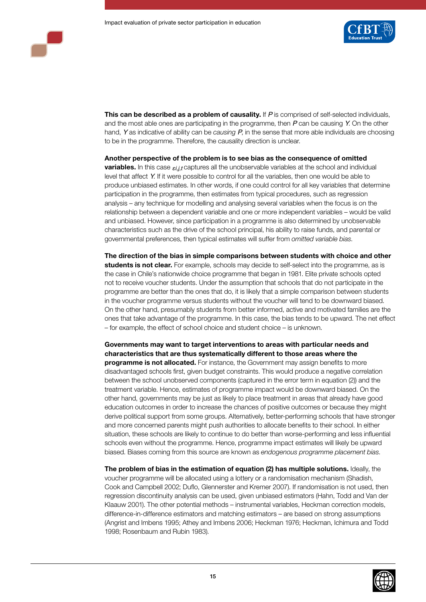

**This can be described as a problem of causality.** If *P* is comprised of self-selected individuals, and the most able ones are participating in the programme, then *P* can be causing *Y*. On the other hand, *Y* as indicative of ability can be *causing P*, in the sense that more able individuals are choosing to be in the programme. Therefore, the causality direction is unclear.

**Another perspective of the problem is to see bias as the consequence of omitted** 

**variables.** In this case  $_{\delta i, \dot{l}}$  captures all the unobservable variables at the school and individual level that affect *Y*. If it were possible to control for all the variables, then one would be able to produce unbiased estimates. In other words, if one could control for all key variables that determine participation in the programme, then estimates from typical procedures, such as regression analysis – any technique for modelling and analysing several variables when the focus is on the relationship between a dependent variable and one or more independent variables – would be valid and unbiased. However, since participation in a programme is also determined by unobservable characteristics such as the drive of the school principal, his ability to raise funds, and parental or governmental preferences, then typical estimates will suffer from *omitted variable bias*.

**The direction of the bias in simple comparisons between students with choice and other students is not clear.** For example, schools may decide to self-select into the programme, as is the case in Chile's nationwide choice programme that began in 1981. Elite private schools opted not to receive voucher students. Under the assumption that schools that do not participate in the programme are better than the ones that do, it is likely that a simple comparison between students in the voucher programme versus students without the voucher will tend to be downward biased. On the other hand, presumably students from better informed, active and motivated families are the ones that take advantage of the programme. In this case, the bias tends to be upward. The net effect – for example, the effect of school choice and student choice – is unknown.

**Governments may want to target interventions to areas with particular needs and characteristics that are thus systematically different to those areas where the programme is not allocated.** For instance, the Government may assign benefits to more disadvantaged schools first, given budget constraints. This would produce a negative correlation between the school unobserved components (captured in the error term in equation (2)) and the treatment variable. Hence, estimates of programme impact would be downward biased. On the other hand, governments may be just as likely to place treatment in areas that already have good education outcomes in order to increase the chances of positive outcomes or because they might derive political support from some groups. Alternatively, better-performing schools that have stronger and more concerned parents might push authorities to allocate benefits to their school. In either situation, these schools are likely to continue to do better than worse-performing and less influential schools even without the programme. Hence, programme impact estimates will likely be upward biased. Biases coming from this source are known as *endogenous programme placement bias*.

**The problem of bias in the estimation of equation (2) has multiple solutions.** Ideally, the voucher programme will be allocated using a lottery or a randomisation mechanism (Shadish, Cook and Campbell 2002; Duflo, Glennerster and Kremer 2007). If randomisation is not used, then regression discontinuity analysis can be used, given unbiased estimators (Hahn, Todd and Van der Klaauw 2001). The other potential methods – instrumental variables, Heckman correction models, difference-in-difference estimators and matching estimators – are based on strong assumptions (Angrist and Imbens 1995; Athey and Imbens 2006; Heckman 1976; Heckman, Ichimura and Todd 1998; Rosenbaum and Rubin 1983).

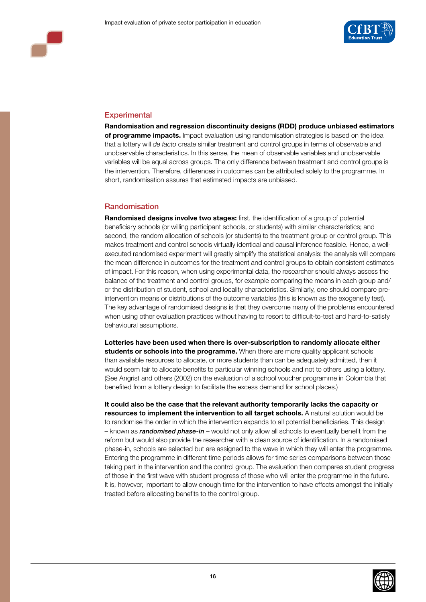

## **Experimental**

**Randomisation and regression discontinuity designs (RDD) produce unbiased estimators of programme impacts.** Impact evaluation using randomisation strategies is based on the idea that a lottery will *de facto* create similar treatment and control groups in terms of observable and unobservable characteristics. In this sense, the mean of observable variables and unobservable variables will be equal across groups. The only difference between treatment and control groups is the intervention. Therefore, differences in outcomes can be attributed solely to the programme. In short, randomisation assures that estimated impacts are unbiased.

## Randomisation

**Randomised designs involve two stages:** first, the identification of a group of potential beneficiary schools (or willing participant schools, or students) with similar characteristics; and second, the random allocation of schools (or students) to the treatment group or control group. This makes treatment and control schools virtually identical and causal inference feasible. Hence, a wellexecuted randomised experiment will greatly simplify the statistical analysis: the analysis will compare the mean difference in outcomes for the treatment and control groups to obtain consistent estimates of impact. For this reason, when using experimental data, the researcher should always assess the balance of the treatment and control groups, for example comparing the means in each group and/ or the distribution of student, school and locality characteristics. Similarly, one should compare preintervention means or distributions of the outcome variables (this is known as the exogeneity test). The key advantage of randomised designs is that they overcome many of the problems encountered when using other evaluation practices without having to resort to difficult-to-test and hard-to-satisfy behavioural assumptions.

**Lotteries have been used when there is over-subscription to randomly allocate either students or schools into the programme.** When there are more quality applicant schools than available resources to allocate, or more students than can be adequately admitted, then it would seem fair to allocate benefits to particular winning schools and not to others using a lottery. (See Angrist and others (2002) on the evaluation of a school voucher programme in Colombia that benefited from a lottery design to facilitate the excess demand for school places.)

**It could also be the case that the relevant authority temporarily lacks the capacity or resources to implement the intervention to all target schools.** A natural solution would be to randomise the order in which the intervention expands to all potential beneficiaries. This design – known as *randomised phase-in* – would not only allow all schools to eventually benefit from the reform but would also provide the researcher with a clean source of identification. In a randomised phase-in, schools are selected but are assigned to the wave in which they will enter the programme. Entering the programme in different time periods allows for time series comparisons between those taking part in the intervention and the control group. The evaluation then compares student progress of those in the first wave with student progress of those who will enter the programme in the future. It is, however, important to allow enough time for the intervention to have effects amongst the initially treated before allocating benefits to the control group.

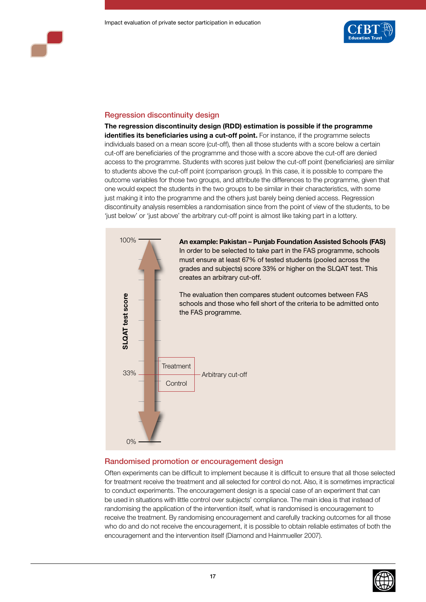

## Regression discontinuity design

**The regression discontinuity design (RDD) estimation is possible if the programme identifies its beneficiaries using a cut-off point.** For instance, if the programme selects individuals based on a mean score (cut-off), then all those students with a score below a certain cut-off are beneficiaries of the programme and those with a score above the cut-off are denied access to the programme. Students with scores just below the cut-off point (beneficiaries) are similar to students above the cut-off point (comparison group). In this case, it is possible to compare the outcome variables for those two groups, and attribute the differences to the programme, given that one would expect the students in the two groups to be similar in their characteristics, with some just making it into the programme and the others just barely being denied access. Regression discontinuity analysis resembles a randomisation since from the point of view of the students, to be 'just below' or 'just above' the arbitrary cut-off point is almost like taking part in a lottery.



## Randomised promotion or encouragement design

Often experiments can be difficult to implement because it is difficult to ensure that all those selected for treatment receive the treatment and all selected for control do not. Also, it is sometimes impractical to conduct experiments. The encouragement design is a special case of an experiment that can be used in situations with little control over subjects' compliance. The main idea is that instead of randomising the application of the intervention itself, what is randomised is encouragement to receive the treatment. By randomising encouragement and carefully tracking outcomes for all those who do and do not receive the encouragement, it is possible to obtain reliable estimates of both the

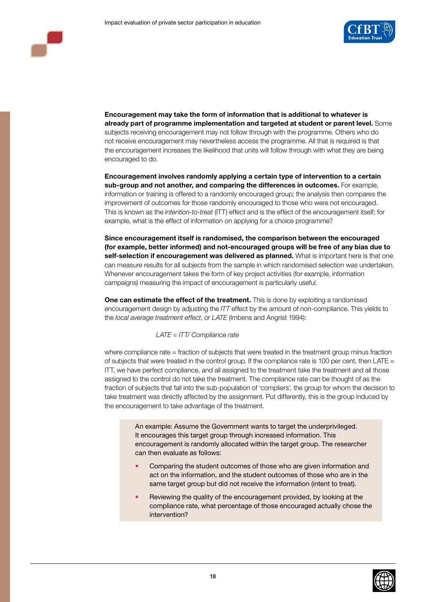

**Encouragement may take the form of information that is additional to whatever is already part of programme implementation and targeted at student or parent level.** Some subjects receiving encouragement may not follow through with the programme. Others who do not receive encouragement may nevertheless access the programme. All that is required is that the encouragement increases the likelihood that units will follow through with what they are being encouraged to do.

**Encouragement involves randomly applying a certain type of intervention to a certain sub-group and not another, and comparing the differences in outcomes.** For example, information or training is offered to a randomly encouraged group; the analysis then compares the improvement of outcomes for those randomly encouraged to those who were not encouraged. This is known as the *intention-to-treat* (ITT) effect and is the effect of the encouragement itself; for example, what is the effect of information on applying for a choice programme?

**Since encouragement itself is randomised, the comparison between the encouraged (for example, better informed) and not-encouraged groups will be free of any bias due to self-selection if encouragement was delivered as planned.** What is important here is that one can measure results for all subjects from the sample in which randomised selection was undertaken. Whenever encouragement takes the form of key project activities (for example, information campaigns) measuring the impact of encouragement is particularly useful.

**One can estimate the effect of the treatment.** This is done by exploiting a randomised encouragement design by adjusting the *ITT* effect by the amount of non-compliance. This yields to the *local average treatment effect*, or *LATE* (Imbens and Angrist 1994):

#### *LATE = ITT/ Compliance rate*

where compliance rate = fraction of subjects that were treated in the treatment group minus fraction of subjects that were treated in the control group. If the compliance rate is 100 per cent, then LATE  $=$ ITT, we have perfect compliance, and all assigned to the treatment take the treatment and all those assigned to the control do not take the treatment. The compliance rate can be thought of as the fraction of subjects that fall into the sub-population of 'compliers', the group for whom the decision to take treatment was directly affected by the assignment. Put differently, this is the group induced by the encouragement to take advantage of the treatment.

> An example: Assume the Government wants to target the underprivileged. It encourages this target group through increased information. This encouragement is randomly allocated within the target group. The researcher can then evaluate as follows:

- Comparing the student outcomes of those who are given information and act on the information, and the student outcomes of those who are in the same target group but did not receive the information (intent to treat).
- Reviewing the quality of the encouragement provided, by looking at the compliance rate, what percentage of those encouraged actually chose the intervention?

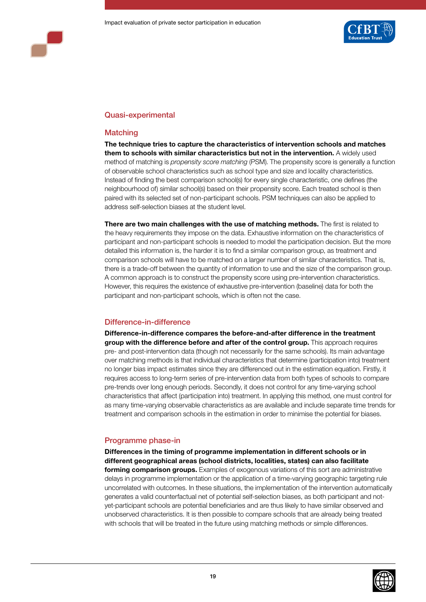



## Quasi-experimental

#### **Matching**

**The technique tries to capture the characteristics of intervention schools and matches them to schools with similar characteristics but not in the intervention.** A widely used method of matching is *propensity score matching* (PSM). The propensity score is generally a function of observable school characteristics such as school type and size and locality characteristics. Instead of finding the best comparison school(s) for every single characteristic, one defines (the neighbourhood of) similar school(s) based on their propensity score. Each treated school is then paired with its selected set of non-participant schools. PSM techniques can also be applied to address self-selection biases at the student level.

**There are two main challenges with the use of matching methods.** The first is related to the heavy requirements they impose on the data. Exhaustive information on the characteristics of participant and non-participant schools is needed to model the participation decision. But the more detailed this information is, the harder it is to find a similar comparison group, as treatment and comparison schools will have to be matched on a larger number of similar characteristics. That is, there is a trade-off between the quantity of information to use and the size of the comparison group. A common approach is to construct the propensity score using pre-intervention characteristics. However, this requires the existence of exhaustive pre-intervention (baseline) data for both the participant and non-participant schools, which is often not the case.

## Difference-in-difference

**Difference-in-difference compares the before-and-after difference in the treatment group with the difference before and after of the control group.** This approach requires pre- and post-intervention data (though not necessarily for the same schools). Its main advantage over matching methods is that individual characteristics that determine (participation into) treatment no longer bias impact estimates since they are differenced out in the estimation equation. Firstly, it requires access to long-term series of pre-intervention data from both types of schools to compare pre-trends over long enough periods. Secondly, it does not control for any time-varying school characteristics that affect (participation into) treatment. In applying this method, one must control for as many time-varying observable characteristics as are available and include separate time trends for treatment and comparison schools in the estimation in order to minimise the potential for biases.

## Programme phase-in

**Differences in the timing of programme implementation in different schools or in different geographical areas (school districts, localities, states) can also facilitate forming comparison groups.** Examples of exogenous variations of this sort are administrative delays in programme implementation or the application of a time-varying geographic targeting rule uncorrelated with outcomes. In these situations, the implementation of the intervention automatically generates a valid counterfactual net of potential self-selection biases, as both participant and notyet-participant schools are potential beneficiaries and are thus likely to have similar observed and unobserved characteristics. It is then possible to compare schools that are already being treated with schools that will be treated in the future using matching methods or simple differences.

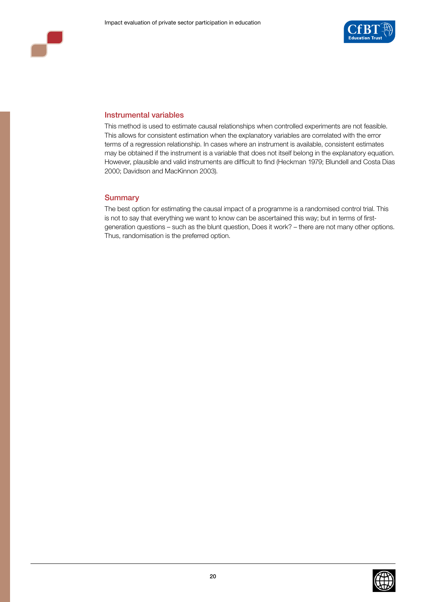



#### Instrumental variables

This method is used to estimate causal relationships when controlled experiments are not feasible. This allows for consistent estimation when the explanatory variables are correlated with the error terms of a regression relationship. In cases where an instrument is available, consistent estimates may be obtained if the instrument is a variable that does not itself belong in the explanatory equation. However, plausible and valid instruments are difficult to find (Heckman 1979; Blundell and Costa Dias 2000; Davidson and MacKinnon 2003).

#### **Summary**

The best option for estimating the causal impact of a programme is a randomised control trial. This is not to say that everything we want to know can be ascertained this way; but in terms of firstgeneration questions – such as the blunt question, Does it work? – there are not many other options. Thus, randomisation is the preferred option.

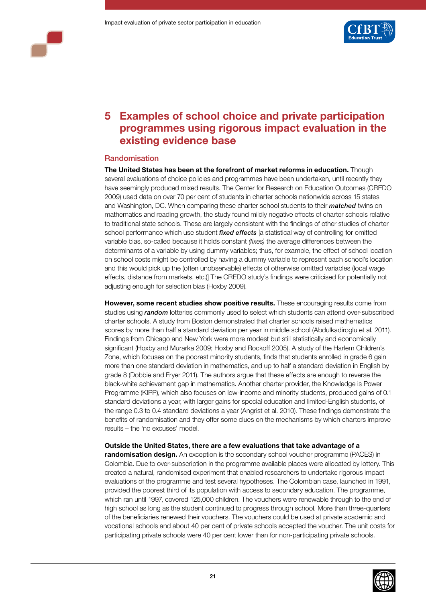



# **5 Examples of school choice and private participation programmes using rigorous impact evaluation in the existing evidence base**

#### Randomisation

**The United States has been at the forefront of market reforms in education.** Though several evaluations of choice policies and programmes have been undertaken, until recently they have seemingly produced mixed results. The Center for Research on Education Outcomes (CREDO 2009) used data on over 70 per cent of students in charter schools nationwide across 15 states and Washington, DC. When comparing these charter school students to their *matched* twins on mathematics and reading growth, the study found mildly negative effects of charter schools relative to traditional state schools. These are largely consistent with the findings of other studies of charter school performance which use student *fixed effects* [a statistical way of controlling for omitted variable bias, so-called because it holds constant *(fixes)* the average differences between the determinants of a variable by using dummy variables; thus, for example, the effect of school location on school costs might be controlled by having a dummy variable to represent each school's location and this would pick up the (often unobservable) effects of otherwise omitted variables (local wage effects, distance from markets, etc.)] The CREDO study's findings were criticised for potentially not adjusting enough for selection bias (Hoxby 2009).

**However, some recent studies show positive results.** These encouraging results come from studies using *random* lotteries commonly used to select which students can attend over-subscribed charter schools. A study from Boston demonstrated that charter schools raised mathematics scores by more than half a standard deviation per year in middle school (Abdulkadiroglu et al. 2011). Findings from Chicago and New York were more modest but still statistically and economically significant (Hoxby and Murarka 2009; Hoxby and Rockoff 2005). A study of the Harlem Children's Zone, which focuses on the poorest minority students, finds that students enrolled in grade 6 gain more than one standard deviation in mathematics, and up to half a standard deviation in English by grade 8 (Dobbie and Fryer 2011). The authors argue that these effects are enough to reverse the black-white achievement gap in mathematics. Another charter provider, the Knowledge is Power Programme (KIPP), which also focuses on low-income and minority students, produced gains of 0.1 standard deviations a year, with larger gains for special education and limited-English students, of the range 0.3 to 0.4 standard deviations a year (Angrist et al. 2010). These findings demonstrate the benefits of randomisation and they offer some clues on the mechanisms by which charters improve results – the 'no excuses' model.

#### **Outside the United States, there are a few evaluations that take advantage of a**

**randomisation design.** An exception is the secondary school voucher programme (PACES) in Colombia. Due to over-subscription in the programme available places were allocated by lottery. This created a natural, randomised experiment that enabled researchers to undertake rigorous impact evaluations of the programme and test several hypotheses. The Colombian case, launched in 1991, provided the poorest third of its population with access to secondary education. The programme, which ran until 1997, covered 125,000 children. The vouchers were renewable through to the end of high school as long as the student continued to progress through school. More than three-quarters of the beneficiaries renewed their vouchers. The vouchers could be used at private academic and vocational schools and about 40 per cent of private schools accepted the voucher. The unit costs for participating private schools were 40 per cent lower than for non-participating private schools.

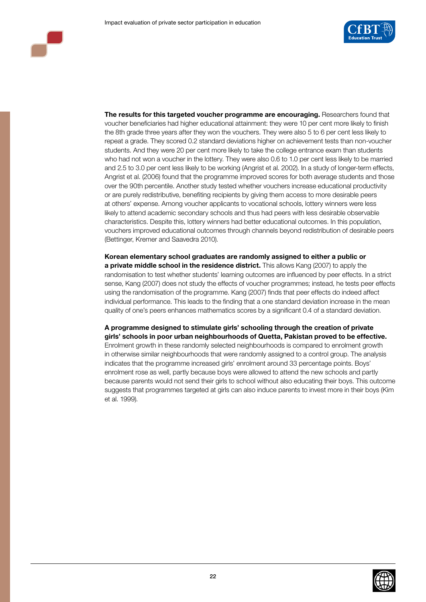

**The results for this targeted voucher programme are encouraging.** Researchers found that voucher beneficiaries had higher educational attainment: they were 10 per cent more likely to finish the 8th grade three years after they won the vouchers. They were also 5 to 6 per cent less likely to repeat a grade. They scored 0.2 standard deviations higher on achievement tests than non-voucher students. And they were 20 per cent more likely to take the college entrance exam than students who had not won a voucher in the lottery. They were also 0.6 to 1.0 per cent less likely to be married and 2.5 to 3.0 per cent less likely to be working (Angrist et al. 2002). In a study of longer-term effects, Angrist et al. (2006) found that the programme improved scores for both average students and those over the 90th percentile. Another study tested whether vouchers increase educational productivity or are purely redistributive, benefiting recipients by giving them access to more desirable peers at others' expense. Among voucher applicants to vocational schools, lottery winners were less likely to attend academic secondary schools and thus had peers with less desirable observable characteristics. Despite this, lottery winners had better educational outcomes. In this population, vouchers improved educational outcomes through channels beyond redistribution of desirable peers (Bettinger, Kremer and Saavedra 2010).

**Korean elementary school graduates are randomly assigned to either a public or a private middle school in the residence district.** This allows Kang (2007) to apply the randomisation to test whether students' learning outcomes are influenced by peer effects. In a strict sense, Kang (2007) does not study the effects of voucher programmes; instead, he tests peer effects using the randomisation of the programme. Kang (2007) finds that peer effects do indeed affect individual performance. This leads to the finding that a one standard deviation increase in the mean quality of one's peers enhances mathematics scores by a significant 0.4 of a standard deviation.

**A programme designed to stimulate girls' schooling through the creation of private girls' schools in poor urban neighbourhoods of Quetta, Pakistan proved to be effective.**  Enrolment growth in these randomly selected neighbourhoods is compared to enrolment growth in otherwise similar neighbourhoods that were randomly assigned to a control group. The analysis indicates that the programme increased girls' enrolment around 33 percentage points. Boys' enrolment rose as well, partly because boys were allowed to attend the new schools and partly because parents would not send their girls to school without also educating their boys. This outcome suggests that programmes targeted at girls can also induce parents to invest more in their boys (Kim et al. 1999).

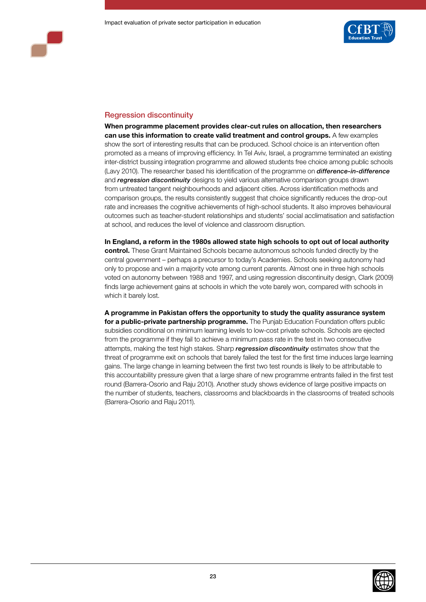

## Regression discontinuity

**When programme placement provides clear-cut rules on allocation, then researchers can use this information to create valid treatment and control groups.** A few examples show the sort of interesting results that can be produced. School choice is an intervention often promoted as a means of improving efficiency. In Tel Aviv, Israel, a programme terminated an existing inter-district bussing integration programme and allowed students free choice among public schools (Lavy 2010). The researcher based his identification of the programme on *difference-in-difference* and *regression discontinuity* designs to yield various alternative comparison groups drawn from untreated tangent neighbourhoods and adjacent cities. Across identification methods and comparison groups, the results consistently suggest that choice significantly reduces the drop-out rate and increases the cognitive achievements of high-school students. It also improves behavioural outcomes such as teacher-student relationships and students' social acclimatisation and satisfaction at school, and reduces the level of violence and classroom disruption.

**In England, a reform in the 1980s allowed state high schools to opt out of local authority control.** These Grant Maintained Schools became autonomous schools funded directly by the central government – perhaps a precursor to today's Academies. Schools seeking autonomy had only to propose and win a majority vote among current parents. Almost one in three high schools voted on autonomy between 1988 and 1997, and using regression discontinuity design, Clark (2009) finds large achievement gains at schools in which the vote barely won, compared with schools in which it barely lost.

**A programme in Pakistan offers the opportunity to study the quality assurance system for a public-private partnership programme.** The Punjab Education Foundation offers public subsidies conditional on minimum learning levels to low-cost private schools. Schools are ejected from the programme if they fail to achieve a minimum pass rate in the test in two consecutive attempts, making the test high stakes. Sharp *regression discontinuity* estimates show that the threat of programme exit on schools that barely failed the test for the first time induces large learning gains. The large change in learning between the first two test rounds is likely to be attributable to this accountability pressure given that a large share of new programme entrants failed in the first test round (Barrera-Osorio and Raju 2010). Another study shows evidence of large positive impacts on the number of students, teachers, classrooms and blackboards in the classrooms of treated schools (Barrera-Osorio and Raju 2011).

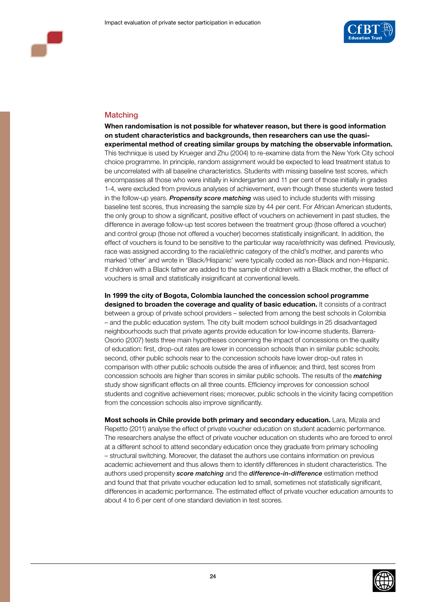

## **Matching**

**When randomisation is not possible for whatever reason, but there is good information on student characteristics and backgrounds, then researchers can use the quasiexperimental method of creating similar groups by matching the observable information.** This technique is used by Krueger and Zhu (2004) to re-examine data from the New York City school choice programme. In principle, random assignment would be expected to lead treatment status to be uncorrelated with all baseline characteristics. Students with missing baseline test scores, which encompasses all those who were initially in kindergarten and 11 per cent of those initially in grades 1-4, were excluded from previous analyses of achievement, even though these students were tested in the follow-up years. *Propensity score matching* was used to include students with missing baseline test scores, thus increasing the sample size by 44 per cent. For African American students, the only group to show a significant, positive effect of vouchers on achievement in past studies, the difference in average follow-up test scores between the treatment group (those offered a voucher) and control group (those not offered a voucher) becomes statistically insignificant. In addition, the effect of vouchers is found to be sensitive to the particular way race/ethnicity was defined. Previously, race was assigned according to the racial/ethnic category of the child's mother, and parents who marked 'other' and wrote in 'Black/Hispanic' were typically coded as non-Black and non-Hispanic. If children with a Black father are added to the sample of children with a Black mother, the effect of vouchers is small and statistically insignificant at conventional levels.

**In 1999 the city of Bogota, Colombia launched the concession school programme designed to broaden the coverage and quality of basic education.** It consists of a contract between a group of private school providers – selected from among the best schools in Colombia – and the public education system. The city built modern school buildings in 25 disadvantaged neighbourhoods such that private agents provide education for low-income students. Barrera-Osorio (2007) tests three main hypotheses concerning the impact of concessions on the quality of education: first, drop-out rates are lower in concession schools than in similar public schools; second, other public schools near to the concession schools have lower drop-out rates in comparison with other public schools outside the area of influence; and third, test scores from concession schools are higher than scores in similar public schools. The results of the *matching* study show significant effects on all three counts. Efficiency improves for concession school students and cognitive achievement rises; moreover, public schools in the vicinity facing competition from the concession schools also improve significantly.

**Most schools in Chile provide both primary and secondary education.** Lara, Mizala and Repetto (2011) analyse the effect of private voucher education on student academic performance. The researchers analyse the effect of private voucher education on students who are forced to enrol at a different school to attend secondary education once they graduate from primary schooling – structural switching. Moreover, the dataset the authors use contains information on previous academic achievement and thus allows them to identify differences in student characteristics. The authors used propensity *score matching* and the *difference-in-difference* estimation method and found that that private voucher education led to small, sometimes not statistically significant, differences in academic performance. The estimated effect of private voucher education amounts to about 4 to 6 per cent of one standard deviation in test scores.

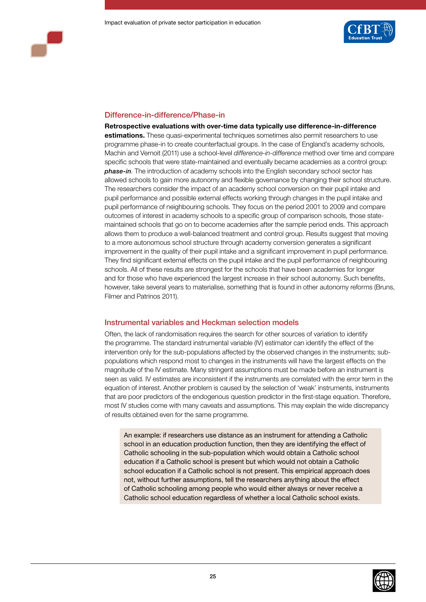



## Difference-in-difference/Phase-in

**Retrospective evaluations with over-time data typically use difference-in-difference estimations.** These quasi-experimental techniques sometimes also permit researchers to use programme phase-in to create counterfactual groups. In the case of England's academy schools, Machin and Vernoit (2011) use a school-level *difference-in-difference* method over time and compare specific schools that were state-maintained and eventually became academies as a control group: *phase-in*. The introduction of academy schools into the English secondary school sector has allowed schools to gain more autonomy and flexible governance by changing their school structure. The researchers consider the impact of an academy school conversion on their pupil intake and pupil performance and possible external effects working through changes in the pupil intake and pupil performance of neighbouring schools. They focus on the period 2001 to 2009 and compare outcomes of interest in academy schools to a specific group of comparison schools, those statemaintained schools that go on to become academies after the sample period ends. This approach allows them to produce a well-balanced treatment and control group. Results suggest that moving to a more autonomous school structure through academy conversion generates a significant improvement in the quality of their pupil intake and a significant improvement in pupil performance. They find significant external effects on the pupil intake and the pupil performance of neighbouring schools. All of these results are strongest for the schools that have been academies for longer and for those who have experienced the largest increase in their school autonomy. Such benefits, however, take several years to materialise, something that is found in other autonomy reforms (Bruns, Filmer and Patrinos 2011).

## Instrumental variables and Heckman selection models

Often, the lack of randomisation requires the search for other sources of variation to identify the programme. The standard instrumental variable (IV) estimator can identify the effect of the intervention only for the sub-populations affected by the observed changes in the instruments; subpopulations which respond most to changes in the instruments will have the largest effects on the magnitude of the IV estimate. Many stringent assumptions must be made before an instrument is seen as valid. IV estimates are inconsistent if the instruments are correlated with the error term in the equation of interest. Another problem is caused by the selection of 'weak' instruments, instruments that are poor predictors of the endogenous question predictor in the first-stage equation. Therefore, most IV studies come with many caveats and assumptions. This may explain the wide discrepancy of results obtained even for the same programme.

An example: if researchers use distance as an instrument for attending a Catholic school in an education production function, then they are identifying the effect of Catholic schooling in the sub-population which would obtain a Catholic school education if a Catholic school is present but which would not obtain a Catholic school education if a Catholic school is not present. This empirical approach does not, without further assumptions, tell the researchers anything about the effect of Catholic schooling among people who would either always or never receive a Catholic school education regardless of whether a local Catholic school exists.

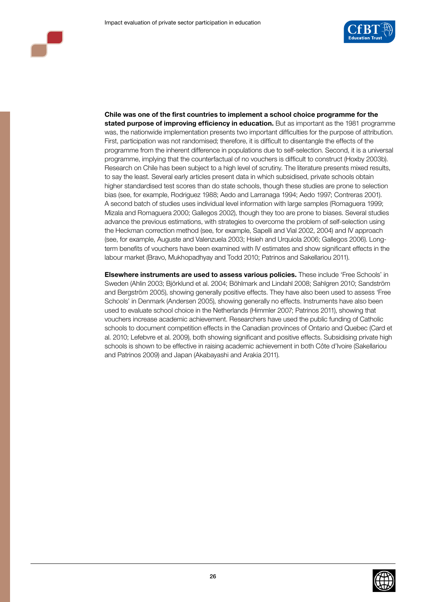

**Chile was one of the first countries to implement a school choice programme for the stated purpose of improving efficiency in education.** But as important as the 1981 programme was, the nationwide implementation presents two important difficulties for the purpose of attribution. First, participation was not randomised; therefore, it is difficult to disentangle the effects of the programme from the inherent difference in populations due to self-selection. Second, it is a universal programme, implying that the counterfactual of no vouchers is difficult to construct (Hoxby 2003b). Research on Chile has been subject to a high level of scrutiny. The literature presents mixed results, to say the least. Several early articles present data in which subsidised, private schools obtain higher standardised test scores than do state schools, though these studies are prone to selection bias (see, for example, Rodriguez 1988; Aedo and Larranaga 1994; Aedo 1997; Contreras 2001). A second batch of studies uses individual level information with large samples (Romaguera 1999; Mizala and Romaguera 2000; Gallegos 2002), though they too are prone to biases. Several studies advance the previous estimations, with strategies to overcome the problem of self-selection using the Heckman correction method (see, for example, Sapelli and Vial 2002, 2004) and IV approach (see, for example, Auguste and Valenzuela 2003; Hsieh and Urquiola 2006; Gallegos 2006). Longterm benefits of vouchers have been examined with IV estimates and show significant effects in the labour market (Bravo, Mukhopadhyay and Todd 2010; Patrinos and Sakellariou 2011).

**Elsewhere instruments are used to assess various policies.** These include 'Free Schools' in Sweden (Ahlin 2003; Björklund et al. 2004; Böhlmark and Lindahl 2008; Sahlgren 2010; Sandström and Bergström 2005), showing generally positive effects. They have also been used to assess 'Free Schools' in Denmark (Andersen 2005), showing generally no effects. Instruments have also been used to evaluate school choice in the Netherlands (Himmler 2007; Patrinos 2011), showing that vouchers increase academic achievement. Researchers have used the public funding of Catholic schools to document competition effects in the Canadian provinces of Ontario and Quebec (Card et al. 2010; Lefebvre et al. 2009), both showing significant and positive effects. Subsidising private high schools is shown to be effective in raising academic achievement in both Côte d'Ivoire (Sakellariou and Patrinos 2009) and Japan (Akabayashi and Arakia 2011).

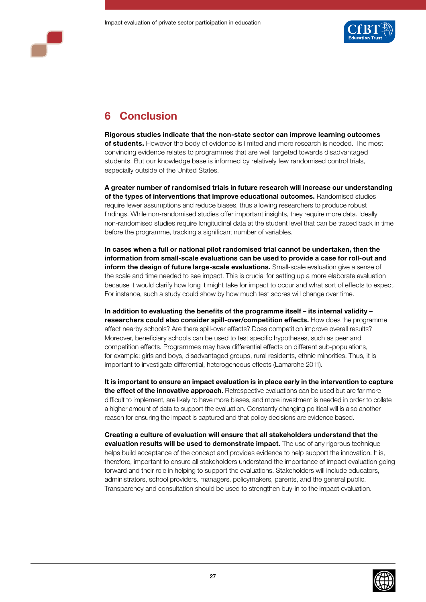

# **6 Conclusion**

**Rigorous studies indicate that the non-state sector can improve learning outcomes of students.** However the body of evidence is limited and more research is needed. The most convincing evidence relates to programmes that are well targeted towards disadvantaged students. But our knowledge base is informed by relatively few randomised control trials, especially outside of the United States.

**A greater number of randomised trials in future research will increase our understanding of the types of interventions that improve educational outcomes.** Randomised studies require fewer assumptions and reduce biases, thus allowing researchers to produce robust findings. While non-randomised studies offer important insights, they require more data. Ideally non-randomised studies require longitudinal data at the student level that can be traced back in time before the programme, tracking a significant number of variables.

**In cases when a full or national pilot randomised trial cannot be undertaken, then the information from small-scale evaluations can be used to provide a case for roll-out and inform the design of future large-scale evaluations.** Small-scale evaluation give a sense of the scale and time needed to see impact. This is crucial for setting up a more elaborate evaluation because it would clarify how long it might take for impact to occur and what sort of effects to expect. For instance, such a study could show by how much test scores will change over time.

**In addition to evaluating the benefits of the programme itself – its internal validity – researchers could also consider spill-over/competition effects.** How does the programme affect nearby schools? Are there spill-over effects? Does competition improve overall results? Moreover, beneficiary schools can be used to test specific hypotheses, such as peer and competition effects. Programmes may have differential effects on different sub-populations, for example: girls and boys, disadvantaged groups, rural residents, ethnic minorities. Thus, it is important to investigate differential, heterogeneous effects (Lamarche 2011).

**It is important to ensure an impact evaluation is in place early in the intervention to capture the effect of the innovative approach.** Retrospective evaluations can be used but are far more difficult to implement, are likely to have more biases, and more investment is needed in order to collate a higher amount of data to support the evaluation. Constantly changing political will is also another reason for ensuring the impact is captured and that policy decisions are evidence based.

**Creating a culture of evaluation will ensure that all stakeholders understand that the evaluation results will be used to demonstrate impact.** The use of any rigorous technique helps build acceptance of the concept and provides evidence to help support the innovation. It is, therefore, important to ensure all stakeholders understand the importance of impact evaluation going forward and their role in helping to support the evaluations. Stakeholders will include educators, administrators, school providers, managers, policymakers, parents, and the general public. Transparency and consultation should be used to strengthen buy-in to the impact evaluation.

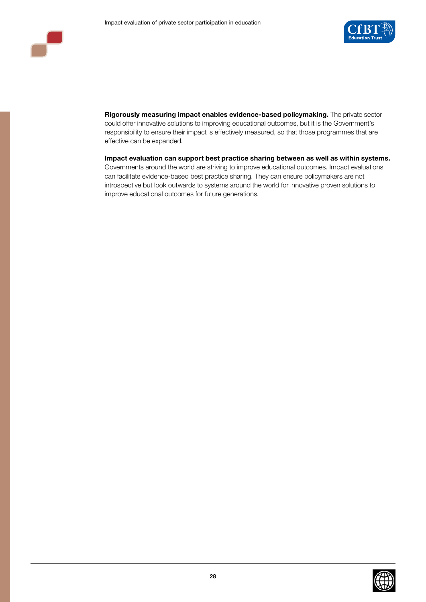



**Rigorously measuring impact enables evidence-based policymaking.** The private sector could offer innovative solutions to improving educational outcomes, but it is the Government's responsibility to ensure their impact is effectively measured, so that those programmes that are effective can be expanded.

**Impact evaluation can support best practice sharing between as well as within systems.**  Governments around the world are striving to improve educational outcomes. Impact evaluations can facilitate evidence-based best practice sharing. They can ensure policymakers are not introspective but look outwards to systems around the world for innovative proven solutions to improve educational outcomes for future generations.

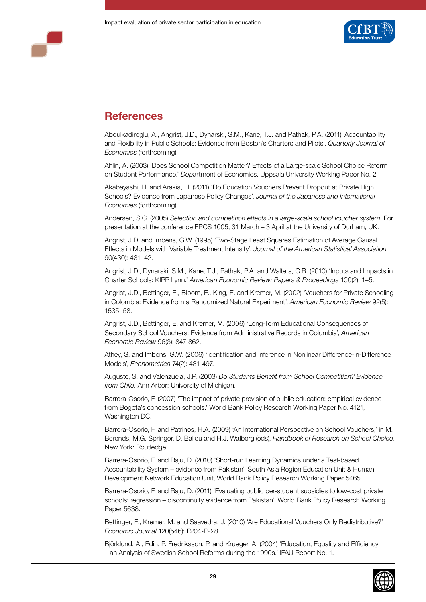



# **References**

Abdulkadiroglu, A., Angrist, J.D., Dynarski, S.M., Kane, T.J. and Pathak, P.A. (2011) 'Accountability and Flexibility in Public Schools: Evidence from Boston's Charters and Pilots', *Quarterly Journal of Economics* (forthcoming).

Ahlin, A. (2003) 'Does School Competition Matter? Effects of a Large-scale School Choice Reform on Student Performance.' *Dep*artment of Economics, Uppsala University Working Paper No. 2.

Akabayashi, H. and Arakia, H. (2011) 'Do Education Vouchers Prevent Dropout at Private High Schools? Evidence from Japanese Policy Changes', *Journal of the Japanese and International Economies* (forthcoming).

Andersen, S.C. (2005) *Selection and competition effects in a large-scale school voucher system.* For presentation at the conference EPCS 1005, 31 March – 3 April at the University of Durham, UK.

Angrist, J.D. and Imbens, G.W. (1995) 'Two-Stage Least Squares Estimation of Average Causal Effects in Models with Variable Treatment Intensity', *Journal of the American Statistical Association*  90(430): 431–42.

Angrist, J.D., Dynarski, S.M., Kane, T.J., Pathak, P.A. and Walters, C.R. (2010) 'Inputs and Impacts in Charter Schools: KIPP Lynn.' *American Economic Review: Papers & Proceedings* 100(2): 1–5.

Angrist, J.D., Bettinger, E., Bloom, E., King, E. and Kremer, M. (2002) 'Vouchers for Private Schooling in Colombia: Evidence from a Randomized Natural Experiment', *American Economic Review* 92(5): 1535–58.

Angrist, J.D., Bettinger, E. and Kremer, M. (2006) 'Long-Term Educational Consequences of Secondary School Vouchers: Evidence from Administrative Records in Colombia', *American Economic Review* 96(3): 847-862.

Athey, S. and Imbens, G.W. (2006) 'Identification and Inference in Nonlinear Difference-in-Difference Models', *Econometrica* 74(2): 431-497.

Auguste, S. and Valenzuela, J.P. (2003) *Do Students Benefit from School Competition? Evidence from Chile.* Ann Arbor: University of Michigan.

Barrera-Osorio, F. (2007) 'The impact of private provision of public education: empirical evidence from Bogota's concession schools.' World Bank Policy Research Working Paper No. 4121, Washington DC.

Barrera-Osorio, F. and Patrinos, H.A. (2009) 'An International Perspective on School Vouchers,' in M. Berends, M.G. Springer, D. Ballou and H.J. Walberg (eds), *Handbook of Research on School Choice.*  New York: Routledge.

Barrera-Osorio, F. and Raju, D. (2010) 'Short-run Learning Dynamics under a Test-based Accountability System – evidence from Pakistan', South Asia Region Education Unit & Human Development Network Education Unit, World Bank Policy Research Working Paper 5465.

Barrera-Osorio, F. and Raju, D. (2011) 'Evaluating public per-student subsidies to low-cost private schools: regression – discontinuity evidence from Pakistan', World Bank Policy Research Working Paper 5638.

Bettinger, E., Kremer, M. and Saavedra, J. (2010) 'Are Educational Vouchers Only Redistributive?' *Economic Journal* 120(546): F204-F228.

Björklund, A., Edin, P. Fredriksson, P. and Krueger, A. (2004) 'Education, Equality and Efficiency – an Analysis of Swedish School Reforms during the 1990s.' IFAU Report No. 1.

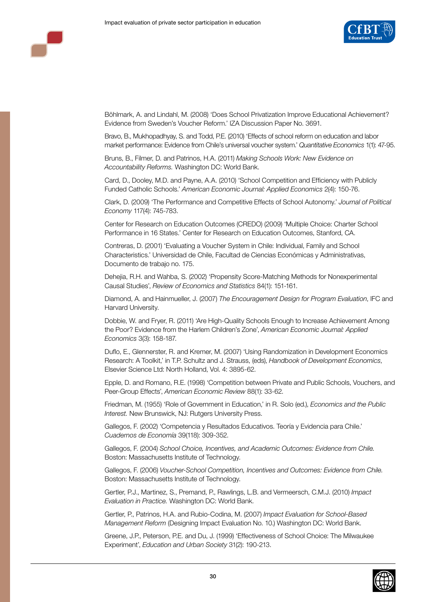

Böhlmark, A. and Lindahl, M. (2008) 'Does School Privatization Improve Educational Achievement? Evidence from Sweden's Voucher Reform.' IZA Discussion Paper No. 3691.

Bravo, B., Mukhopadhyay, S. and Todd, P.E. (2010) 'Effects of school reform on education and labor market performance: Evidence from Chile's universal voucher system.' *Quantitative Economics* 1(1): 47-95.

Bruns, B., Filmer, D. and Patrinos, H.A. (2011) *Making Schools Work: New Evidence on Accountability Reforms.* Washington DC: World Bank.

Card, D., Dooley, M.D. and Payne, A.A. (2010) 'School Competition and Efficiency with Publicly Funded Catholic Schools.' *American Economic Journal: Applied Economics* 2(4): 150-76.

Clark, D. (2009) 'The Performance and Competitive Effects of School Autonomy.' *Journal of Political Economy* 117(4): 745-783.

Center for Research on Education Outcomes (CREDO) (2009) 'Multiple Choice: Charter School Performance in 16 States.' Center for Research on Education Outcomes, Stanford, CA.

Contreras, D. (2001) 'Evaluating a Voucher System in Chile: Individual, Family and School Characteristics.' Universidad de Chile, Facultad de Ciencias Económicas y Administrativas, Documento de trabajo no. 175.

Dehejia, R.H. and Wahba, S. (2002) 'Propensity Score-Matching Methods for Nonexperimental Causal Studies', *Review of Economics and Statistics* 84(1): 151-161.

Diamond, A. and Hainmueller, J. (2007) *The Encouragement Design for Program Evaluation*, IFC and Harvard University.

Dobbie, W. and Fryer, R. (2011) 'Are High-Quality Schools Enough to Increase Achievement Among the Poor? Evidence from the Harlem Children's Zone', *American Economic Journal: Applied Economics* 3(3): 158-187.

Duflo, E., Glennerster, R. and Kremer, M. (2007) 'Using Randomization in Development Economics Research: A Toolkit,' in T.P. Schultz and J. Strauss, (eds), *Handbook of Development Economics*, Elsevier Science Ltd: North Holland, Vol. 4: 3895-62.

Epple, D. and Romano, R.E. (1998) 'Competition between Private and Public Schools, Vouchers, and Peer-Group Effects', *American Economic Review* 88(1): 33-62.

Friedman, M. (1955) 'Role of Government in Education,' in R. Solo (ed.), *Economics and the Public Interest.* New Brunswick, NJ: Rutgers University Press.

Gallegos, F. (2002) 'Competencia y Resultados Educativos. Teoría y Evidencia para Chile.' *Cuadernos de Economía* 39(118): 309-352.

Gallegos, F. (2004) *School Choice, Incentives, and Academic Outcomes: Evidence from Chile.* Boston: Massachusetts Institute of Technology.

Gallegos, F. (2006) *Voucher-School Competition, Incentives and Outcomes: Evidence from Chile.* Boston: Massachusetts Institute of Technology.

Gertler, P.J., Martinez, S., Premand, P., Rawlings, L.B. and Vermeersch, C.M.J. (2010) *Impact Evaluation in Practice.* Washington DC: World Bank.

Gertler, P., Patrinos, H.A. and Rubio-Codina, M. (2007) *Impact Evaluation for School-Based Management Reform* (Designing Impact Evaluation No. 10.) Washington DC: World Bank.

Greene, J.P., Peterson, P.E. and Du, J. (1999) 'Effectiveness of School Choice: The Milwaukee Experiment', *Education and Urban Society* 31(2): 190-213.

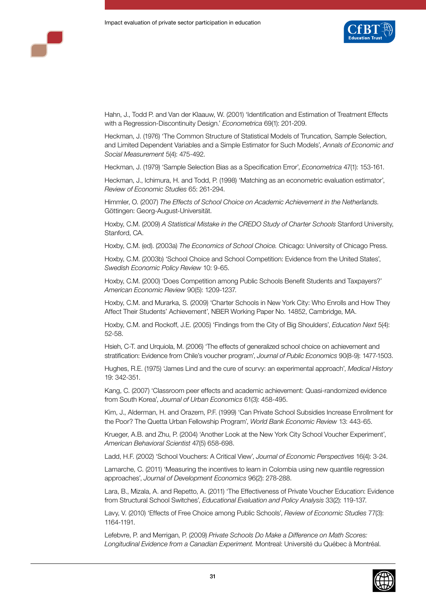

Hahn, J., Todd P. and Van der Klaauw, W. (2001) 'Identification and Estimation of Treatment Effects with a Regression-Discontinuity Design.' *Econometrica* 69(1): 201-209.

Heckman, J. (1976) 'The Common Structure of Statistical Models of Truncation, Sample Selection, and Limited Dependent Variables and a Simple Estimator for Such Models', *Annals of Economic and Social Measurement* 5(4): 475-492.

Heckman, J. (1979) 'Sample Selection Bias as a Specification Error', *Econometrica* 47(1): 153-161.

Heckman, J., Ichimura, H. and Todd, P. (1998) 'Matching as an econometric evaluation estimator', *Review of Economic Studies* 65: 261-294.

Himmler, O. (2007) *The Effects of School Choice on Academic Achievement in the Netherlands.* Göttingen: Georg-August-Universität.

Hoxby, C.M. (2009) *A Statistical Mistake in the CREDO Study of Charter Schools* Stanford University, Stanford, CA.

Hoxby, C.M. (ed). (2003a) *The Economics of School Choice.* Chicago: University of Chicago Press.

Hoxby, C.M. (2003b) 'School Choice and School Competition: Evidence from the United States', *Swedish Economic Policy Review* 10: 9-65.

Hoxby, C.M. (2000) 'Does Competition among Public Schools Benefit Students and Taxpayers?' *American Economic Review* 90(5): 1209-1237.

Hoxby, C.M. and Murarka, S. (2009) 'Charter Schools in New York City: Who Enrolls and How They Affect Their Students' Achievement', NBER Working Paper No. 14852, Cambridge, MA.

Hoxby, C.M. and Rockoff, J.E. (2005) 'Findings from the City of Big Shoulders', *Education Next* 5(4): 52-58.

Hsieh, C-T. and Urquiola, M. (2006) 'The effects of generalized school choice on achievement and stratification: Evidence from Chile's voucher program', *Journal of Public Economics* 90(8-9): 1477-1503.

Hughes, R.E. (1975) 'James Lind and the cure of scurvy: an experimental approach', *Medical History* 19: 342-351.

Kang, C. (2007) 'Classroom peer effects and academic achievement: Quasi-randomized evidence from South Korea', *Journal of Urban Economics* 61(3): 458-495.

Kim, J., Alderman, H. and Orazem, P.F. (1999) 'Can Private School Subsidies Increase Enrollment for the Poor? The Quetta Urban Fellowship Program', *World Bank Economic Review* 13: 443-65.

Krueger, A.B. and Zhu, P. (2004) 'Another Look at the New York City School Voucher Experiment', *American Behavioral Scientist* 47(5) 658-698.

Ladd, H.F. (2002) 'School Vouchers: A Critical View', *Journal of Economic Perspectives* 16(4): 3-24.

Lamarche, C. (2011) 'Measuring the incentives to learn in Colombia using new quantile regression approaches', *Journal of Development Economics* 96(2): 278-288.

Lara, B., Mizala, A. and Repetto, A. (2011) 'The Effectiveness of Private Voucher Education: Evidence from Structural School Switches', *Educational Evaluation and Policy Analysis* 33(2): 119-137.

Lavy, V. (2010) 'Effects of Free Choice among Public Schools', *Review of Economic Studies* 77(3): 1164-1191.

Lefebvre, P. and Merrigan, P. (2009) *Private Schools Do Make a Difference on Math Scores: Longitudinal Evidence from a Canadian Experiment.* Montreal: Université du Québec à Montréal.

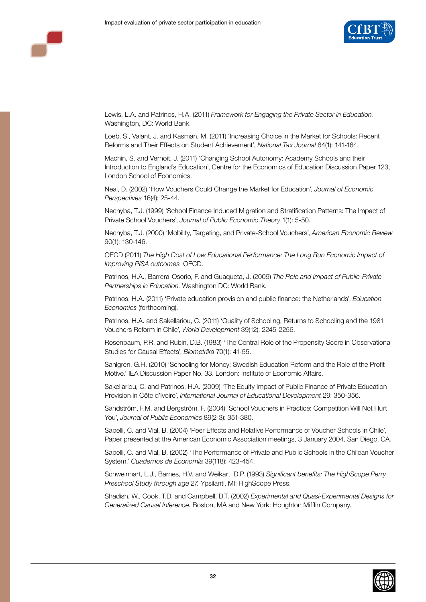

Lewis, L.A. and Patrinos, H.A. (2011) *Framework for Engaging the Private Sector in Education.* Washington, DC: World Bank.

Loeb, S., Valant, J. and Kasman, M. (2011) 'Increasing Choice in the Market for Schools: Recent Reforms and Their Effects on Student Achievement', *National Tax Journal* 64(1): 141-164.

Machin, S. and Vernoit, J. (2011) 'Changing School Autonomy: Academy Schools and their Introduction to England's Education', Centre for the Economics of Education Discussion Paper 123, London School of Economics.

Neal, D. (2002) 'How Vouchers Could Change the Market for Education', *Journal of Economic Perspectives* 16(4): 25-44.

Nechyba, T.J. (1999) 'School Finance Induced Migration and Stratification Patterns: The Impact of Private School Vouchers', *Journal of Public Economic Theory* 1(1): 5-50.

Nechyba, T.J. (2000) 'Mobility, Targeting, and Private-School Vouchers', *American Economic Review*  90(1): 130-146.

OECD (2011) *The High Cost of Low Educational Performance: The Long Run Economic Impact of Improving PISA outcomes.* OECD.

Patrinos, H.A., Barrera-Osorio, F. and Guaqueta, J. (2009) *The Role and Impact of Public-Private Partnerships in Education.* Washington DC: World Bank.

Patrinos, H.A. (2011) 'Private education provision and public finance: the Netherlands', *Education Economics* (forthcoming).

Patrinos, H.A. and Sakellariou, C. (2011) 'Quality of Schooling, Returns to Schooling and the 1981 Vouchers Reform in Chile', *World Development* 39(12): 2245-2256.

Rosenbaum, P.R. and Rubin, D.B. (1983) 'The Central Role of the Propensity Score in Observational Studies for Causal Effects', *Biometrika* 70(1): 41-55.

Sahlgren, G.H. (2010) 'Schooling for Money: Swedish Education Reform and the Role of the Profit Motive.' IEA Discussion Paper No. 33. London: Institute of Economic Affairs.

Sakellariou, C. and Patrinos, H.A. (2009) 'The Equity Impact of Public Finance of Private Education Provision in Côte d'Ivoire', *International Journal of Educational Development* 29: 350-356.

Sandström, F.M. and Bergström, F. (2004) 'School Vouchers in Practice: Competition Will Not Hurt You', *Journal of Public Economics* 89(2-3): 351-380.

Sapelli, C. and Vial, B. (2004) 'Peer Effects and Relative Performance of Voucher Schools in Chile', Paper presented at the American Economic Association meetings, 3 January 2004, San Diego, CA.

Sapelli, C. and Vial, B. (2002) 'The Performance of Private and Public Schools in the Chilean Voucher System.' *Cuadernos de Economía* 39(118): 423-454.

Schweinhart, L.J., Barnes, H.V. and Weikart, D.P. (1993) *Significant benefits: The HighScope Perry Preschool Study through age 27.* Ypsilanti, MI: HighScope Press.

Shadish, W., Cook, T.D. and Campbell, D.T. (2002) *Experimental and Quasi-Experimental Designs for Generalized Causal Inference.* Boston, MA and New York: Houghton Mifflin Company.

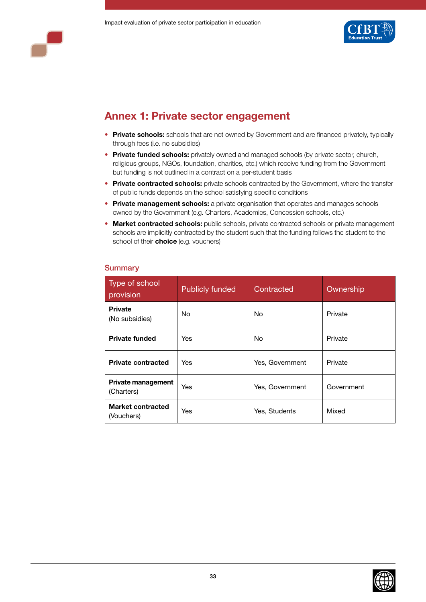



# **Annex 1: Private sector engagement**

- **Private schools:** schools that are not owned by Government and are financed privately, typically through fees (i.e. no subsidies)
- **Private funded schools:** privately owned and managed schools (by private sector, church, religious groups, NGOs, foundation, charities, etc.) which receive funding from the Government but funding is not outlined in a contract on a per-student basis
- **Private contracted schools:** private schools contracted by the Government, where the transfer of public funds depends on the school satisfying specific conditions
- **Private management schools:** a private organisation that operates and manages schools owned by the Government (e.g. Charters, Academies, Concession schools, etc.)
- **Market contracted schools:** public schools, private contracted schools or private management schools are implicitly contracted by the student such that the funding follows the student to the school of their **choice** (e.g. vouchers)

| Type of school<br>provision             | <b>Publicly funded</b> | Contracted      | Ownership  |
|-----------------------------------------|------------------------|-----------------|------------|
| <b>Private</b><br>(No subsidies)        | No.                    | No.             | Private    |
| <b>Private funded</b>                   | Yes                    | No.             | Private    |
| <b>Private contracted</b>               | <b>Yes</b>             | Yes, Government | Private    |
| <b>Private management</b><br>(Charters) | Yes                    | Yes, Government | Government |
| Market contracted<br>(Vouchers)         | Yes                    | Yes, Students   | Mixed      |

## **Summary**